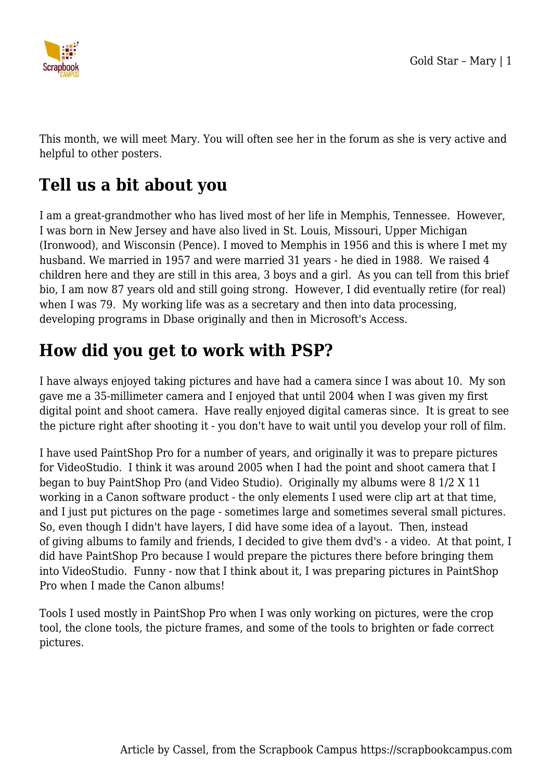

This month, we will meet Mary. You will often see her in the forum as she is very active and helpful to other posters.

## **Tell us a bit about you**

I am a great-grandmother who has lived most of her life in Memphis, Tennessee. However, I was born in New Jersey and have also lived in St. Louis, Missouri, Upper Michigan (Ironwood), and Wisconsin (Pence). I moved to Memphis in 1956 and this is where I met my husband. We married in 1957 and were married 31 years - he died in 1988. We raised 4 children here and they are still in this area, 3 boys and a girl. As you can tell from this brief bio, I am now 87 years old and still going strong. However, I did eventually retire (for real) when I was 79. My working life was as a secretary and then into data processing, developing programs in Dbase originally and then in Microsoft's Access.

## **How did you get to work with PSP?**

I have always enjoyed taking pictures and have had a camera since I was about 10. My son gave me a 35-millimeter camera and I enjoyed that until 2004 when I was given my first digital point and shoot camera. Have really enjoyed digital cameras since. It is great to see the picture right after shooting it - you don't have to wait until you develop your roll of film.

I have used PaintShop Pro for a number of years, and originally it was to prepare pictures for VideoStudio. I think it was around 2005 when I had the point and shoot camera that I began to buy PaintShop Pro (and Video Studio). Originally my albums were 8 1/2 X 11 working in a Canon software product - the only elements I used were clip art at that time, and I just put pictures on the page - sometimes large and sometimes several small pictures. So, even though I didn't have layers, I did have some idea of a layout. Then, instead of giving albums to family and friends, I decided to give them dvd's - a video. At that point, I did have PaintShop Pro because I would prepare the pictures there before bringing them into VideoStudio. Funny - now that I think about it, I was preparing pictures in PaintShop Pro when I made the Canon albums!

Tools I used mostly in PaintShop Pro when I was only working on pictures, were the crop tool, the clone tools, the picture frames, and some of the tools to brighten or fade correct pictures.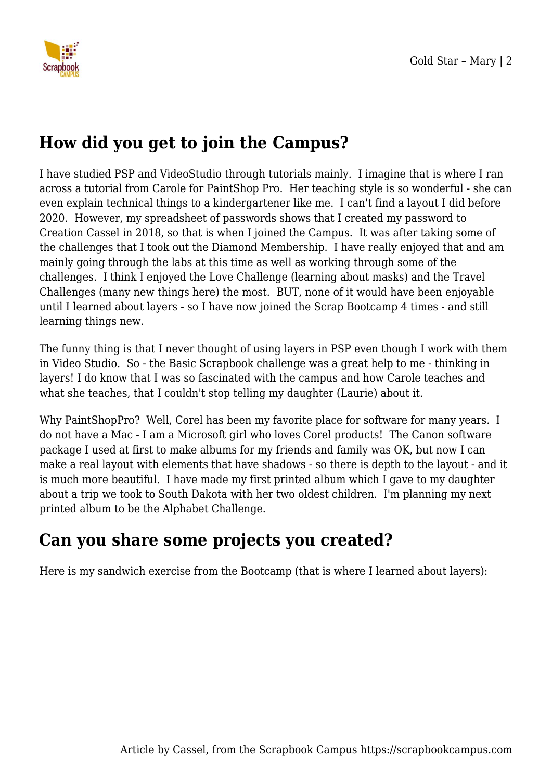

## **How did you get to join the Campus?**

I have studied PSP and VideoStudio through tutorials mainly. I imagine that is where I ran across a tutorial from Carole for PaintShop Pro. Her teaching style is so wonderful - she can even explain technical things to a kindergartener like me. I can't find a layout I did before 2020. However, my spreadsheet of passwords shows that I created my password to Creation Cassel in 2018, so that is when I joined the Campus. It was after taking some of the challenges that I took out the Diamond Membership. I have really enjoyed that and am mainly going through the labs at this time as well as working through some of the challenges. I think I enjoyed the Love Challenge (learning about masks) and the Travel Challenges (many new things here) the most. BUT, none of it would have been enjoyable until I learned about layers - so I have now joined the Scrap Bootcamp 4 times - and still learning things new.

The funny thing is that I never thought of using layers in PSP even though I work with them in Video Studio. So - the Basic Scrapbook challenge was a great help to me - thinking in layers! I do know that I was so fascinated with the campus and how Carole teaches and what she teaches, that I couldn't stop telling my daughter (Laurie) about it.

Why PaintShopPro? Well, Corel has been my favorite place for software for many years. I do not have a Mac - I am a Microsoft girl who loves Corel products! The Canon software package I used at first to make albums for my friends and family was OK, but now I can make a real layout with elements that have shadows - so there is depth to the layout - and it is much more beautiful. I have made my first printed album which I gave to my daughter about a trip we took to South Dakota with her two oldest children. I'm planning my next printed album to be the Alphabet Challenge.

## **Can you share some projects you created?**

Here is my sandwich exercise from the Bootcamp (that is where I learned about layers):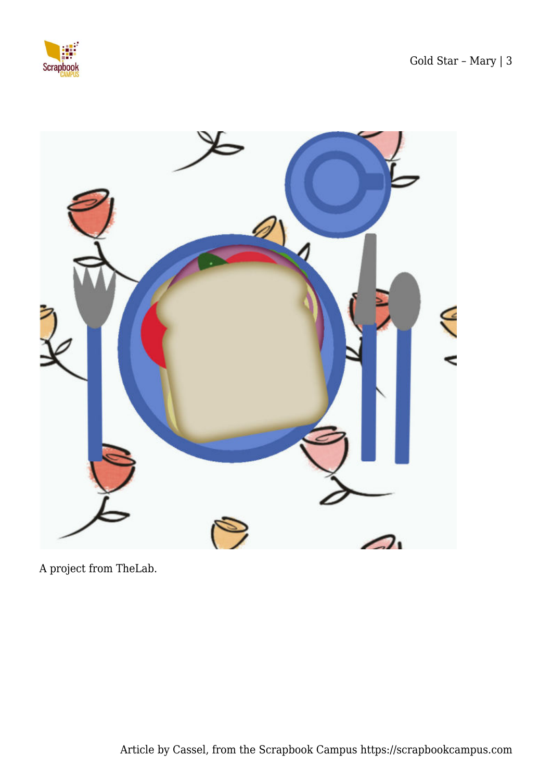



A project from TheLab.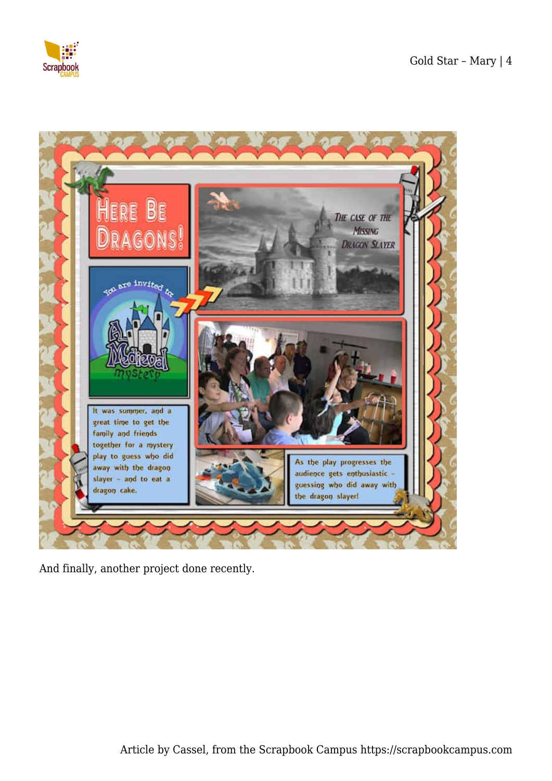



And finally, another project done recently.